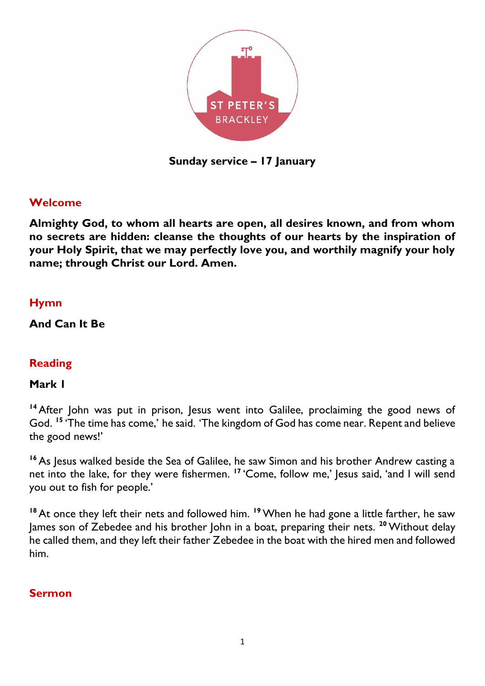

**Sunday service – 17 January**

## **Welcome**

**Almighty God, to whom all hearts are open, all desires known, and from whom no secrets are hidden: cleanse the thoughts of our hearts by the inspiration of your Holy Spirit, that we may perfectly love you, and worthily magnify your holy name; through Christ our Lord. Amen.** 

## **Hymn**

**And Can It Be**

## **Reading**

#### **Mark 1**

<sup>14</sup> After John was put in prison, Jesus went into Galilee, proclaiming the good news of God. **<sup>15</sup>** 'The time has come,' he said. 'The kingdom of God has come near. Repent and believe the good news!'

<sup>16</sup> As Jesus walked beside the Sea of Galilee, he saw Simon and his brother Andrew casting a net into the lake, for they were fishermen. **<sup>17</sup>** 'Come, follow me,' Jesus said, 'and I will send you out to fish for people.'

**<sup>18</sup>** At once they left their nets and followed him. **<sup>19</sup>**When he had gone a little farther, he saw James son of Zebedee and his brother John in a boat, preparing their nets. **<sup>20</sup>**Without delay he called them, and they left their father Zebedee in the boat with the hired men and followed him.

#### **Sermon**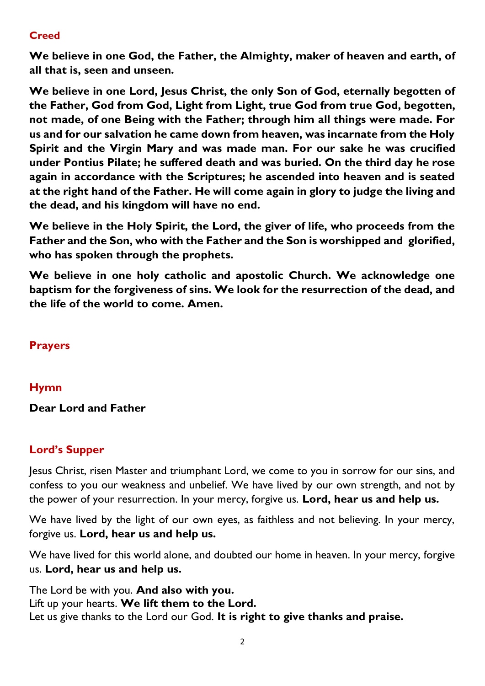## **Creed**

**We believe in one God, the Father, the Almighty, maker of heaven and earth, of all that is, seen and unseen.** 

**We believe in one Lord, Jesus Christ, the only Son of God, eternally begotten of the Father, God from God, Light from Light, true God from true God, begotten, not made, of one Being with the Father; through him all things were made. For us and for our salvation he came down from heaven, was incarnate from the Holy Spirit and the Virgin Mary and was made man. For our sake he was crucified under Pontius Pilate; he suffered death and was buried. On the third day he rose again in accordance with the Scriptures; he ascended into heaven and is seated at the right hand of the Father. He will come again in glory to judge the living and the dead, and his kingdom will have no end.**

**We believe in the Holy Spirit, the Lord, the giver of life, who proceeds from the Father and the Son, who with the Father and the Son is worshipped and glorified, who has spoken through the prophets.** 

**We believe in one holy catholic and apostolic Church. We acknowledge one baptism for the forgiveness of sins. We look for the resurrection of the dead, and the life of the world to come. Amen.**

## **Prayers**

## **Hymn**

## **Dear Lord and Father**

## **Lord's Supper**

Jesus Christ, risen Master and triumphant Lord, we come to you in sorrow for our sins, and confess to you our weakness and unbelief. We have lived by our own strength, and not by the power of your resurrection. In your mercy, forgive us. **Lord, hear us and help us.**

We have lived by the light of our own eyes, as faithless and not believing. In your mercy, forgive us. **Lord, hear us and help us.**

We have lived for this world alone, and doubted our home in heaven. In your mercy, forgive us. **Lord, hear us and help us.**

The Lord be with you. **And also with you.** Lift up your hearts. **We lift them to the Lord.** Let us give thanks to the Lord our God. **It is right to give thanks and praise.**